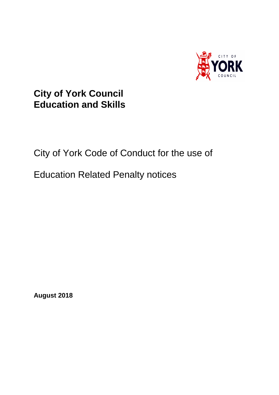

## **City of York Council Education and Skills**

## City of York Code of Conduct for the use of

## Education Related Penalty notices

**August 2018**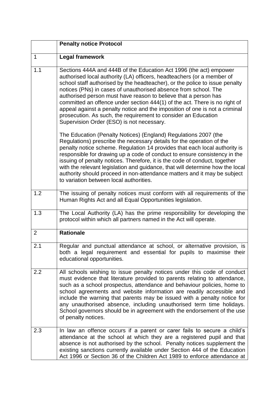|                | <b>Penalty notice Protocol</b>                                                                                                                                                                                                                                                                                                                                                                                                                                                                                                                                                                                                                |
|----------------|-----------------------------------------------------------------------------------------------------------------------------------------------------------------------------------------------------------------------------------------------------------------------------------------------------------------------------------------------------------------------------------------------------------------------------------------------------------------------------------------------------------------------------------------------------------------------------------------------------------------------------------------------|
| $\mathbf 1$    | <b>Legal framework</b>                                                                                                                                                                                                                                                                                                                                                                                                                                                                                                                                                                                                                        |
| 1.1            | Sections 444A and 444B of the Education Act 1996 (the act) empower<br>authorised local authority (LA) officers, headteachers (or a member of<br>school staff authorised by the headteacher), or the police to issue penalty<br>notices (PNs) in cases of unauthorised absence from school. The<br>authorised person must have reason to believe that a person has<br>committed an offence under section 444(1) of the act. There is no right of<br>appeal against a penalty notice and the imposition of one is not a criminal<br>prosecution. As such, the requirement to consider an Education<br>Supervision Order (ESO) is not necessary. |
|                | The Education (Penalty Notices) (England) Regulations 2007 (the<br>Regulations) prescribe the necessary details for the operation of the<br>penalty notice scheme. Regulation 14 provides that each local authority is<br>responsible for drawing up a code of conduct to ensure consistency in the<br>issuing of penalty notices. Therefore, it is the code of conduct, together<br>with the relevant legislation and guidance, that will determine how the local<br>authority should proceed in non-attendance matters and it may be subject<br>to variation between local authorities.                                                     |
| 1.2            | The issuing of penalty notices must conform with all requirements of the<br>Human Rights Act and all Equal Opportunities legislation.                                                                                                                                                                                                                                                                                                                                                                                                                                                                                                         |
| 1.3            | The Local Authority (LA) has the prime responsibility for developing the<br>protocol within which all partners named in the Act will operate.                                                                                                                                                                                                                                                                                                                                                                                                                                                                                                 |
| $\overline{2}$ | <b>Rationale</b>                                                                                                                                                                                                                                                                                                                                                                                                                                                                                                                                                                                                                              |
| 2.1            | Regular and punctual attendance at school, or alternative provision, is<br>both a legal requirement and essential for pupils to maximise their<br>educational opportunities.                                                                                                                                                                                                                                                                                                                                                                                                                                                                  |
| 2.2            | All schools wishing to issue penalty notices under this code of conduct<br>must evidence that literature provided to parents relating to attendance,<br>such as a school prospectus, attendance and behaviour policies, home to<br>school agreements and website information are readily accessible and<br>include the warning that parents may be issued with a penalty notice for<br>any unauthorised absence, including unauthorised term time holidays.<br>School governors should be in agreement with the endorsement of the use<br>of penalty notices.                                                                                 |
| 2.3            | In law an offence occurs if a parent or carer fails to secure a child's<br>attendance at the school at which they are a registered pupil and that<br>absence is not authorised by the school. Penalty notices supplement the<br>existing sanctions currently available under Section 444 of the Education<br>Act 1996 or Section 36 of the Children Act 1989 to enforce attendance at                                                                                                                                                                                                                                                         |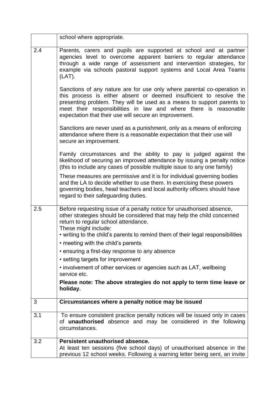|     | school where appropriate.                                                                                                                                                                                                                                                                                                                              |
|-----|--------------------------------------------------------------------------------------------------------------------------------------------------------------------------------------------------------------------------------------------------------------------------------------------------------------------------------------------------------|
| 2.4 | Parents, carers and pupils are supported at school and at partner<br>agencies level to overcome apparent barriers to regular attendance<br>through a wide range of assessment and intervention strategies, for<br>example via schools pastoral support systems and Local Area Teams<br>$(LAT)$ .                                                       |
|     | Sanctions of any nature are for use only where parental co-operation in<br>this process is either absent or deemed insufficient to resolve the<br>presenting problem. They will be used as a means to support parents to<br>meet their responsibilities in law and where there is reasonable<br>expectation that their use will secure an improvement. |
|     | Sanctions are never used as a punishment, only as a means of enforcing<br>attendance where there is a reasonable expectation that their use will<br>secure an improvement.                                                                                                                                                                             |
|     | Family circumstances and the ability to pay is judged against the<br>likelihood of securing an improved attendance by issuing a penalty notice<br>(this to include any cases of possible multiple issue to any one family)                                                                                                                             |
|     | These measures are permissive and it is for individual governing bodies<br>and the LA to decide whether to use them. In exercising these powers<br>governing bodies, head teachers and local authority officers should have<br>regard to their safeguarding duties.                                                                                    |
| 2.5 | Before requesting issue of a penalty notice for unauthorised absence,<br>other strategies should be considered that may help the child concerned<br>return to regular school attendance.<br>These might include:                                                                                                                                       |
|     | • writing to the child's parents to remind them of their legal responsibilities                                                                                                                                                                                                                                                                        |
|     | • meeting with the child's parents<br>• ensuring a first-day response to any absence                                                                                                                                                                                                                                                                   |
|     | • setting targets for improvement                                                                                                                                                                                                                                                                                                                      |
|     | • involvement of other services or agencies such as LAT, wellbeing<br>service etc.                                                                                                                                                                                                                                                                     |
|     | Please note: The above strategies do not apply to term time leave or<br>holiday.                                                                                                                                                                                                                                                                       |
| 3   | Circumstances where a penalty notice may be issued                                                                                                                                                                                                                                                                                                     |
| 3.1 | To ensure consistent practice penalty notices will be issued only in cases<br>of unauthorised absence and may be considered in the following<br>circumstances.                                                                                                                                                                                         |
| 3.2 | Persistent unauthorised absence.                                                                                                                                                                                                                                                                                                                       |
|     | At least ten sessions (five school days) of unauthorised absence in the<br>previous 12 school weeks. Following a warning letter being sent, an invite                                                                                                                                                                                                  |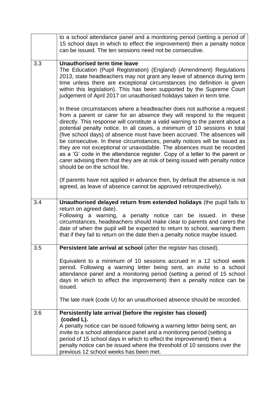|     | to a school attendance panel and a monitoring period (setting a period of<br>15 school days in which to effect the improvement) then a penalty notice<br>can be issued. The ten sessions need not be consecutive.                                                                                                                                                                                                                                                                                                                                                                                                                                                                                                                                                                                                                 |
|-----|-----------------------------------------------------------------------------------------------------------------------------------------------------------------------------------------------------------------------------------------------------------------------------------------------------------------------------------------------------------------------------------------------------------------------------------------------------------------------------------------------------------------------------------------------------------------------------------------------------------------------------------------------------------------------------------------------------------------------------------------------------------------------------------------------------------------------------------|
| 3.3 | <b>Unauthorised term time leave</b><br>The Education (Pupil Registration) (England) (Amendment) Regulations<br>2013, state headteachers may not grant any leave of absence during term<br>time unless there are exceptional circumstances (no definition is given<br>within this legislation). This has been supported by the Supreme Court<br>judgement of April 2017 on unauthorised holidays taken in term time.                                                                                                                                                                                                                                                                                                                                                                                                               |
|     | In these circumstances where a headteacher does not authorise a request<br>from a parent or carer for an absence they will respond to the request<br>directly. This response will constitute a valid warning to the parent about a<br>potential penalty notice. In all cases, a minimum of 10 sessions in total<br>(five school days) of absence must have been accrued. The absences will<br>be consecutive. In these circumstances, penalty notices will be issued as<br>they are not exceptional or unavoidable. The absences must be recorded<br>as a 'G' code in the attendance register. Copy of a letter to the parent or<br>carer advising them that they are at risk of being issued with penalty notice<br>should be on the school file.<br>(If parents have not applied in advance then, by default the absence is not |
|     | agreed, as leave of absence cannot be approved retrospectively).                                                                                                                                                                                                                                                                                                                                                                                                                                                                                                                                                                                                                                                                                                                                                                  |
| 3.4 | Unauthorised delayed return from extended holidays (the pupil fails to<br>return on agreed date).<br>Following a warning, a penalty notice can be issued. In these<br>circumstances, headteachers should make clear to parents and carers the<br>date of when the pupil will be expected to return to school, warning them<br>that if they fail to return on the date then a penalty notice maybe issued.                                                                                                                                                                                                                                                                                                                                                                                                                         |
| 3.5 | Persistent late arrival at school (after the register has closed).                                                                                                                                                                                                                                                                                                                                                                                                                                                                                                                                                                                                                                                                                                                                                                |
|     | Equivalent to a minimum of 10 sessions accrued in a 12 school week<br>period. Following a warning letter being sent, an invite to a school<br>attendance panel and a monitoring period (setting a period of 15 school<br>days in which to effect the improvement) then a penalty notice can be<br>issued.                                                                                                                                                                                                                                                                                                                                                                                                                                                                                                                         |
|     | The late mark (code U) for an unauthorised absence should be recorded.                                                                                                                                                                                                                                                                                                                                                                                                                                                                                                                                                                                                                                                                                                                                                            |
| 3.6 | Persistently late arrival (before the register has closed)<br>(coded L).                                                                                                                                                                                                                                                                                                                                                                                                                                                                                                                                                                                                                                                                                                                                                          |
|     | A penalty notice can be issued following a warning letter being sent, an<br>invite to a school attendance panel and a monitoring period (setting a<br>period of 15 school days in which to effect the improvement) then a<br>penalty notice can be issued where the threshold of 10 sessions over the<br>previous 12 school weeks has been met.                                                                                                                                                                                                                                                                                                                                                                                                                                                                                   |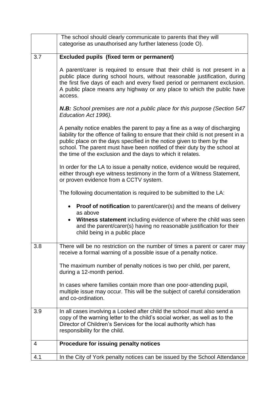|     | The school should clearly communicate to parents that they will<br>categorise as unauthorised any further lateness (code O).                                                                                                                                                                                                                                                          |
|-----|---------------------------------------------------------------------------------------------------------------------------------------------------------------------------------------------------------------------------------------------------------------------------------------------------------------------------------------------------------------------------------------|
| 3.7 | <b>Excluded pupils (fixed term or permanent)</b>                                                                                                                                                                                                                                                                                                                                      |
|     | A parent/carer is required to ensure that their child is not present in a<br>public place during school hours, without reasonable justification, during<br>the first five days of each and every fixed period or permanent exclusion.<br>A public place means any highway or any place to which the public have<br>access.                                                            |
|     | <b>N.B:</b> School premises are not a public place for this purpose (Section 547<br>Education Act 1996).                                                                                                                                                                                                                                                                              |
|     | A penalty notice enables the parent to pay a fine as a way of discharging<br>liability for the offence of failing to ensure that their child is not present in a<br>public place on the days specified in the notice given to them by the<br>school. The parent must have been notified of their duty by the school at<br>the time of the exclusion and the days to which it relates. |
|     | In order for the LA to issue a penalty notice, evidence would be required,<br>either through eye witness testimony in the form of a Witness Statement,<br>or proven evidence from a CCTV system.                                                                                                                                                                                      |
|     | The following documentation is required to be submitted to the LA:                                                                                                                                                                                                                                                                                                                    |
|     | <b>Proof of notification</b> to parent/carer(s) and the means of delivery<br>as above                                                                                                                                                                                                                                                                                                 |
|     | Witness statement including evidence of where the child was seen<br>and the parent/carer(s) having no reasonable justification for their<br>child being in a public place                                                                                                                                                                                                             |
| 3.8 | There will be no restriction on the number of times a parent or carer may<br>receive a formal warning of a possible issue of a penalty notice.                                                                                                                                                                                                                                        |
|     | The maximum number of penalty notices is two per child, per parent,<br>during a 12-month period.                                                                                                                                                                                                                                                                                      |
|     | In cases where families contain more than one poor-attending pupil,<br>multiple issue may occur. This will be the subject of careful consideration<br>and co-ordination.                                                                                                                                                                                                              |
| 3.9 | In all cases involving a Looked after child the school must also send a<br>copy of the warning letter to the child's social worker, as well as to the<br>Director of Children's Services for the local authority which has<br>responsibility for the child.                                                                                                                           |
| 4   | Procedure for issuing penalty notices                                                                                                                                                                                                                                                                                                                                                 |
| 4.1 | In the City of York penalty notices can be issued by the School Attendance                                                                                                                                                                                                                                                                                                            |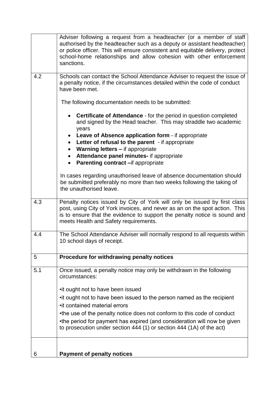|     | Adviser following a request from a headteacher (or a member of staff<br>authorised by the headteacher such as a deputy or assistant headteacher)<br>or police officer. This will ensure consistent and equitable delivery, protect<br>school-home relationships and allow cohesion with other enforcement<br>sanctions. |
|-----|-------------------------------------------------------------------------------------------------------------------------------------------------------------------------------------------------------------------------------------------------------------------------------------------------------------------------|
| 4.2 | Schools can contact the School Attendance Adviser to request the issue of<br>a penalty notice, if the circumstances detailed within the code of conduct<br>have been met.                                                                                                                                               |
|     | The following documentation needs to be submitted:                                                                                                                                                                                                                                                                      |
|     | <b>Certificate of Attendance</b> - for the period in question completed<br>$\bullet$<br>and signed by the Head teacher. This may straddle two academic<br>years<br>• Leave of Absence application form - if appropriate                                                                                                 |
|     | • Letter of refusal to the parent - if appropriate<br>• Warning letters - if appropriate<br>Attendance panel minutes- if appropriate<br>$\bullet$<br>Parenting contract - if appropriate                                                                                                                                |
|     | In cases regarding unauthorised leave of absence documentation should<br>be submitted preferably no more than two weeks following the taking of<br>the unauthorised leave.                                                                                                                                              |
| 4.3 | Penalty notices issued by City of York will only be issued by first class<br>post, using City of York invoices, and never as an on the spot action. This<br>is to ensure that the evidence to support the penalty notice is sound and<br>meets Health and Safety requirements.                                          |
| 4.4 | The School Attendance Adviser will normally respond to all requests within<br>10 school days of receipt.                                                                                                                                                                                                                |
| 5   | Procedure for withdrawing penalty notices                                                                                                                                                                                                                                                                               |
| 5.1 | Once issued, a penalty notice may only be withdrawn in the following<br>circumstances:                                                                                                                                                                                                                                  |
|     | •it ought not to have been issued                                                                                                                                                                                                                                                                                       |
|     | • it ought not to have been issued to the person named as the recipient                                                                                                                                                                                                                                                 |
|     | • it contained material errors                                                                                                                                                                                                                                                                                          |
|     | •the use of the penalty notice does not conform to this code of conduct<br>•the period for payment has expired (and consideration will now be given<br>to prosecution under section 444 (1) or section 444 (1A) of the act)                                                                                             |
|     |                                                                                                                                                                                                                                                                                                                         |
| 6   | <b>Payment of penalty notices</b>                                                                                                                                                                                                                                                                                       |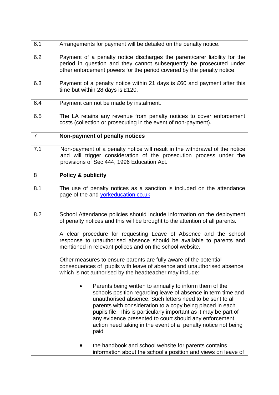| 6.1            | Arrangements for payment will be detailed on the penalty notice.                                                                                                                                                                                                                                                                                                                                                                                         |
|----------------|----------------------------------------------------------------------------------------------------------------------------------------------------------------------------------------------------------------------------------------------------------------------------------------------------------------------------------------------------------------------------------------------------------------------------------------------------------|
| 6.2            | Payment of a penalty notice discharges the parent/carer liability for the<br>period in question and they cannot subsequently be prosecuted under<br>other enforcement powers for the period covered by the penalty notice.                                                                                                                                                                                                                               |
| 6.3            | Payment of a penalty notice within 21 days is £60 and payment after this<br>time but within 28 days is £120.                                                                                                                                                                                                                                                                                                                                             |
| 6.4            | Payment can not be made by instalment.                                                                                                                                                                                                                                                                                                                                                                                                                   |
| 6.5            | The LA retains any revenue from penalty notices to cover enforcement<br>costs (collection or prosecuting in the event of non-payment).                                                                                                                                                                                                                                                                                                                   |
| $\overline{7}$ | Non-payment of penalty notices                                                                                                                                                                                                                                                                                                                                                                                                                           |
| 7.1            | Non-payment of a penalty notice will result in the withdrawal of the notice<br>and will trigger consideration of the prosecution process under the<br>provisions of Sec 444, 1996 Education Act.                                                                                                                                                                                                                                                         |
| 8              | <b>Policy &amp; publicity</b>                                                                                                                                                                                                                                                                                                                                                                                                                            |
| 8.1            | The use of penalty notices as a sanction is included on the attendance<br>page of the and <b>yorkeducation.co.uk</b>                                                                                                                                                                                                                                                                                                                                     |
| 8.2            | School Attendance policies should include information on the deployment<br>of penalty notices and this will be brought to the attention of all parents.                                                                                                                                                                                                                                                                                                  |
|                | A clear procedure for requesting Leave of Absence and the school<br>response to unauthorised absence should be available to parents and<br>mentioned in relevant polices and on the school website.                                                                                                                                                                                                                                                      |
|                | Other measures to ensure parents are fully aware of the potential<br>consequences of pupils with leave of absence and unauthorised absence<br>which is not authorised by the headteacher may include:                                                                                                                                                                                                                                                    |
|                | Parents being written to annually to inform them of the<br>schools position regarding leave of absence in term time and<br>unauthorised absence. Such letters need to be sent to all<br>parents with consideration to a copy being placed in each<br>pupils file. This is particularly important as it may be part of<br>any evidence presented to court should any enforcement<br>action need taking in the event of a penalty notice not being<br>paid |
|                | the handbook and school website for parents contains<br>information about the school's position and views on leave of                                                                                                                                                                                                                                                                                                                                    |